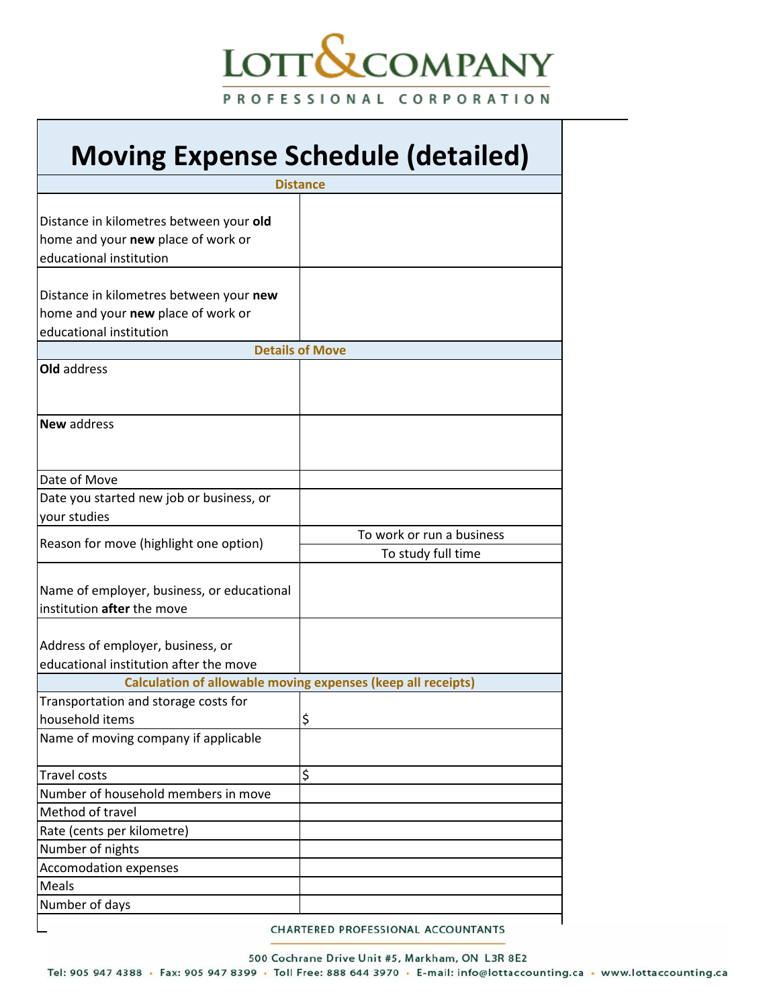## LOTT**S**COMPANY PROFESSIONAL CORPORATION

## **Moving Expense Schedule (detailed)**

|                                            | <b>Distance</b>                                              |
|--------------------------------------------|--------------------------------------------------------------|
|                                            |                                                              |
| Distance in kilometres between your old    |                                                              |
| home and your new place of work or         |                                                              |
| educational institution                    |                                                              |
|                                            |                                                              |
| Distance in kilometres between your new    |                                                              |
| home and your new place of work or         |                                                              |
| educational institution                    |                                                              |
|                                            | <b>Details of Move</b>                                       |
| Old address                                |                                                              |
|                                            |                                                              |
|                                            |                                                              |
| New address                                |                                                              |
|                                            |                                                              |
|                                            |                                                              |
| Date of Move                               |                                                              |
| Date you started new job or business, or   |                                                              |
| your studies                               |                                                              |
| Reason for move (highlight one option)     | To work or run a business                                    |
|                                            | To study full time                                           |
|                                            |                                                              |
| Name of employer, business, or educational |                                                              |
| institution after the move                 |                                                              |
|                                            |                                                              |
| Address of employer, business, or          |                                                              |
| educational institution after the move     |                                                              |
|                                            | Calculation of allowable moving expenses (keep all receipts) |
| Transportation and storage costs for       |                                                              |
| household items                            | \$                                                           |
| Name of moving company if applicable       |                                                              |
|                                            |                                                              |
| Travel costs                               | \$                                                           |
| Number of household members in move        |                                                              |
| Method of travel                           |                                                              |
| Rate (cents per kilometre)                 |                                                              |
| Number of nights                           |                                                              |
| <b>Accomodation expenses</b>               |                                                              |
| Meals                                      |                                                              |
| Number of days                             |                                                              |
|                                            | CHARTERED PROFESSIONAL ACCOUNTANTS                           |

CHARTERED PROFESSIONAL ACCOUNTANTS

500 Cochrane Drive Unit #5, Markham, ON L3R 8E2